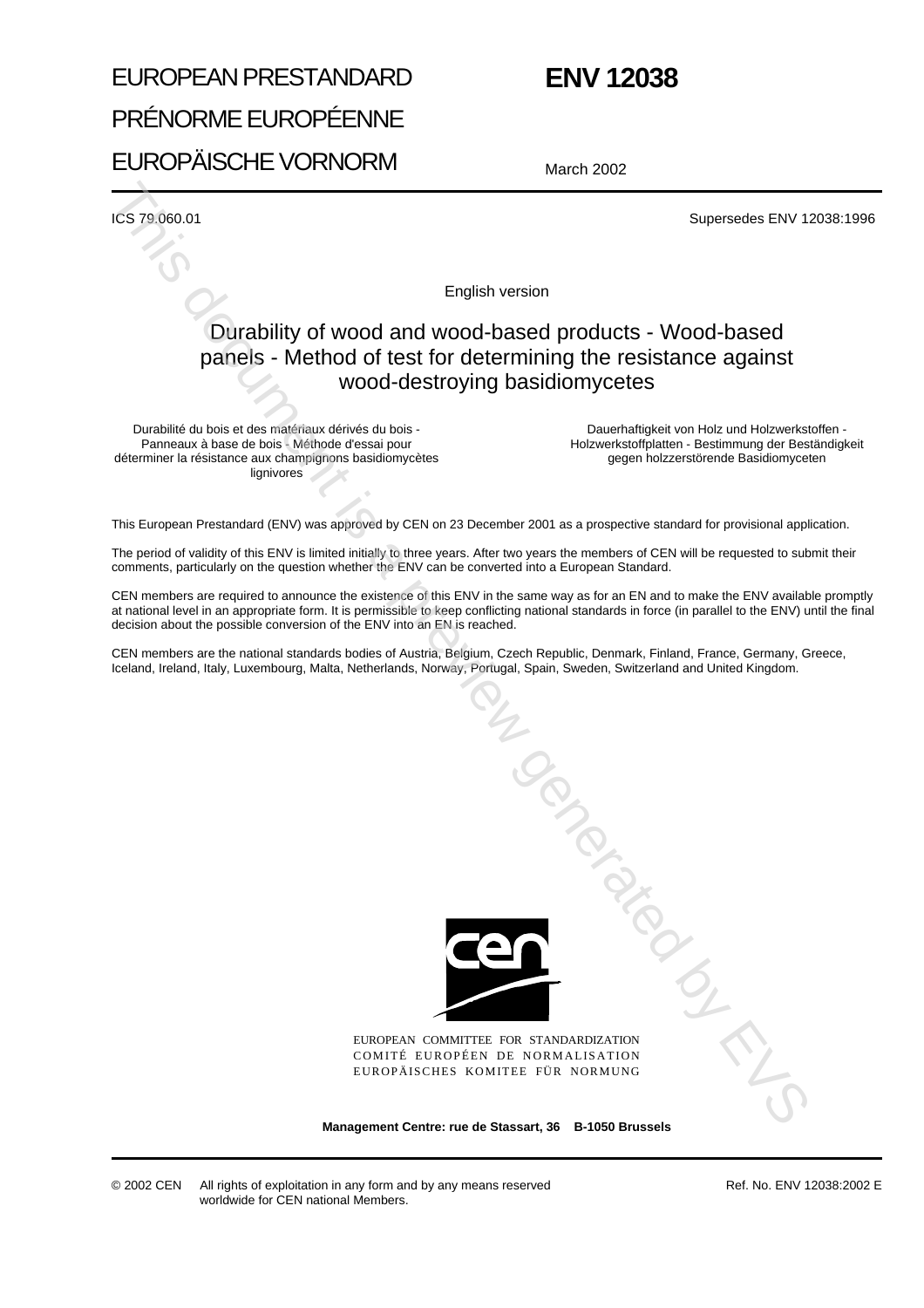## EUROPEAN PRESTANDARD PRÉNORME EUROPÉENNE EUROPÄISCHE VORNORM

## **ENV 12038**

March 2002

ICS 79.060.01 Supersedes ENV 12038:1996

English version

### Durability of wood and wood-based products - Wood-based panels - Method of test for determining the resistance against wood-destroying basidiomycetes

Durabilité du bois et des matériaux dérivés du bois - Panneaux à base de bois - Méthode d'essai pour déterminer la résistance aux champignons basidiomycètes lignivores

Dauerhaftigkeit von Holz und Holzwerkstoffen - Holzwerkstoffplatten - Bestimmung der Beständigkeit gegen holzzerstörende Basidiomyceten

This European Prestandard (ENV) was approved by CEN on 23 December 2001 as a prospective standard for provisional application.

The period of validity of this ENV is limited initially to three years. After two years the members of CEN will be requested to submit their comments, particularly on the question whether the ENV can be converted into a European Standard.

CEN members are required to announce the existence of this ENV in the same way as for an EN and to make the ENV available promptly at national level in an appropriate form. It is permissible to keep conflicting national standards in force (in parallel to the ENV) until the final decision about the possible conversion of the ENV into an EN is reached.

CEN members are the national standards bodies of Austria, Belgium, Czech Republic, Denmark, Finland, France, Germany, Greece, Iceland, Ireland, Italy, Luxembourg, Malta, Netherlands, Norway, Portugal, Spain, Sweden, Switzerland and United Kingdom.



EUROPEAN COMMITTEE FOR STANDARDIZATION COMITÉ EUROPÉEN DE NORMALISATION EUROPÄISCHES KOMITEE FÜR NORMUNG

**Management Centre: rue de Stassart, 36 B-1050 Brussels**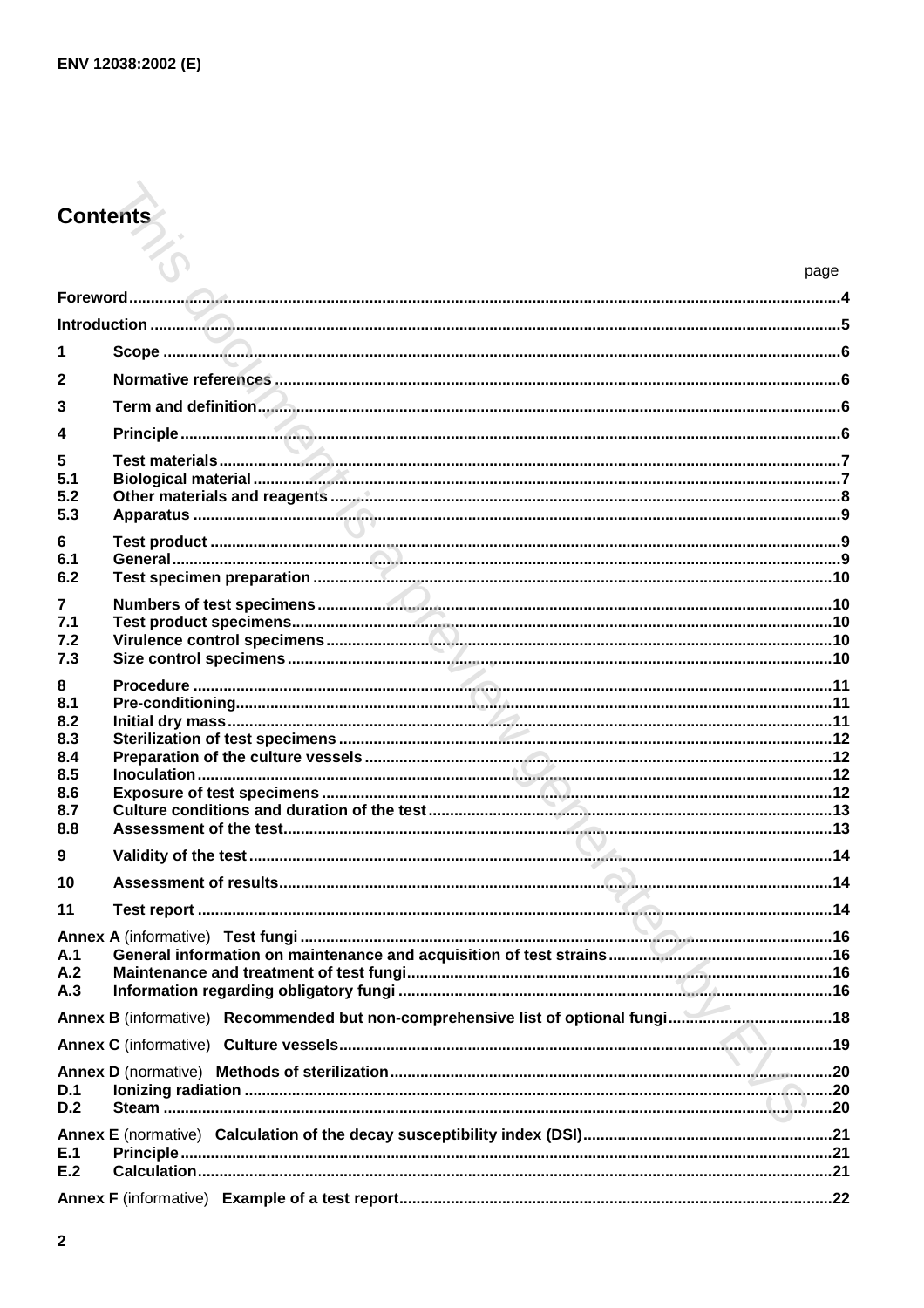# **Contents**

|                       | page |
|-----------------------|------|
|                       |      |
|                       |      |
| 1                     |      |
| 2                     |      |
| 3                     |      |
| 4                     |      |
| 5                     |      |
| 5.1                   |      |
| 5.2                   |      |
| 5.3                   |      |
| 6                     |      |
| 6.1<br>6.2            |      |
|                       |      |
| $\overline{7}$<br>7.1 |      |
| 7.2                   |      |
| 7.3                   |      |
| 8                     |      |
| 8.1                   |      |
| 8.2<br>8.3            |      |
| 8.4                   |      |
| 8.5                   |      |
| 8.6                   |      |
| 8.7                   |      |
| 8.8                   |      |
| 9                     |      |
| 10                    |      |
| 11                    |      |
|                       |      |
| A.1                   |      |
| A.2                   |      |
| A.3                   |      |
|                       |      |
|                       |      |
|                       |      |
| D.1<br>D.2            |      |
|                       |      |
| E.1                   |      |
| E.2                   |      |
|                       |      |
|                       |      |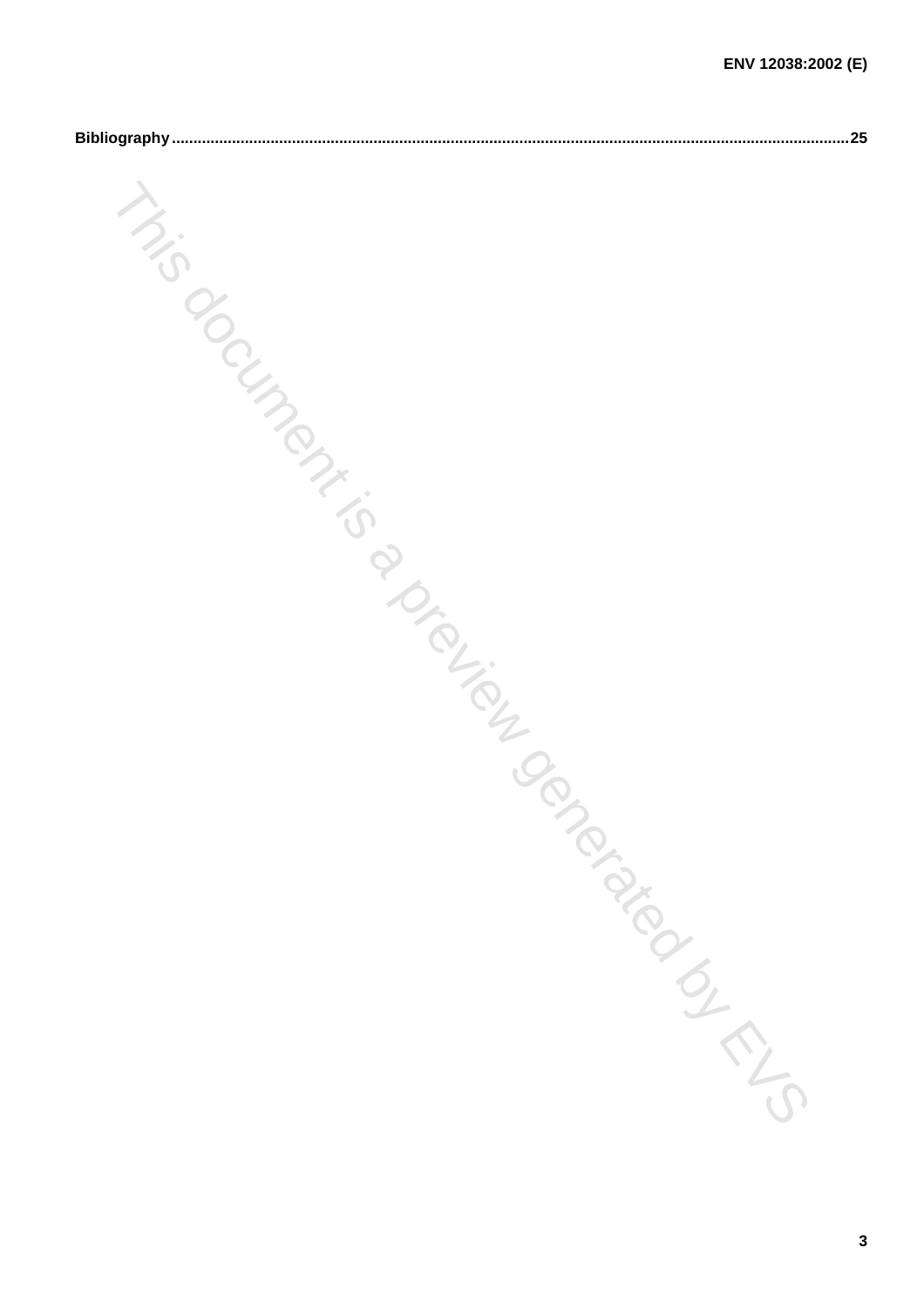|              | ENV 12038:2002 (E) |
|--------------|--------------------|
|              | .25                |
|              |                    |
|              |                    |
|              |                    |
| ilm          |                    |
| <b>STATE</b> |                    |
|              |                    |
|              |                    |
|              |                    |
|              |                    |
|              |                    |
|              |                    |
|              |                    |
|              |                    |
|              | I Perdayandan Eng  |
|              |                    |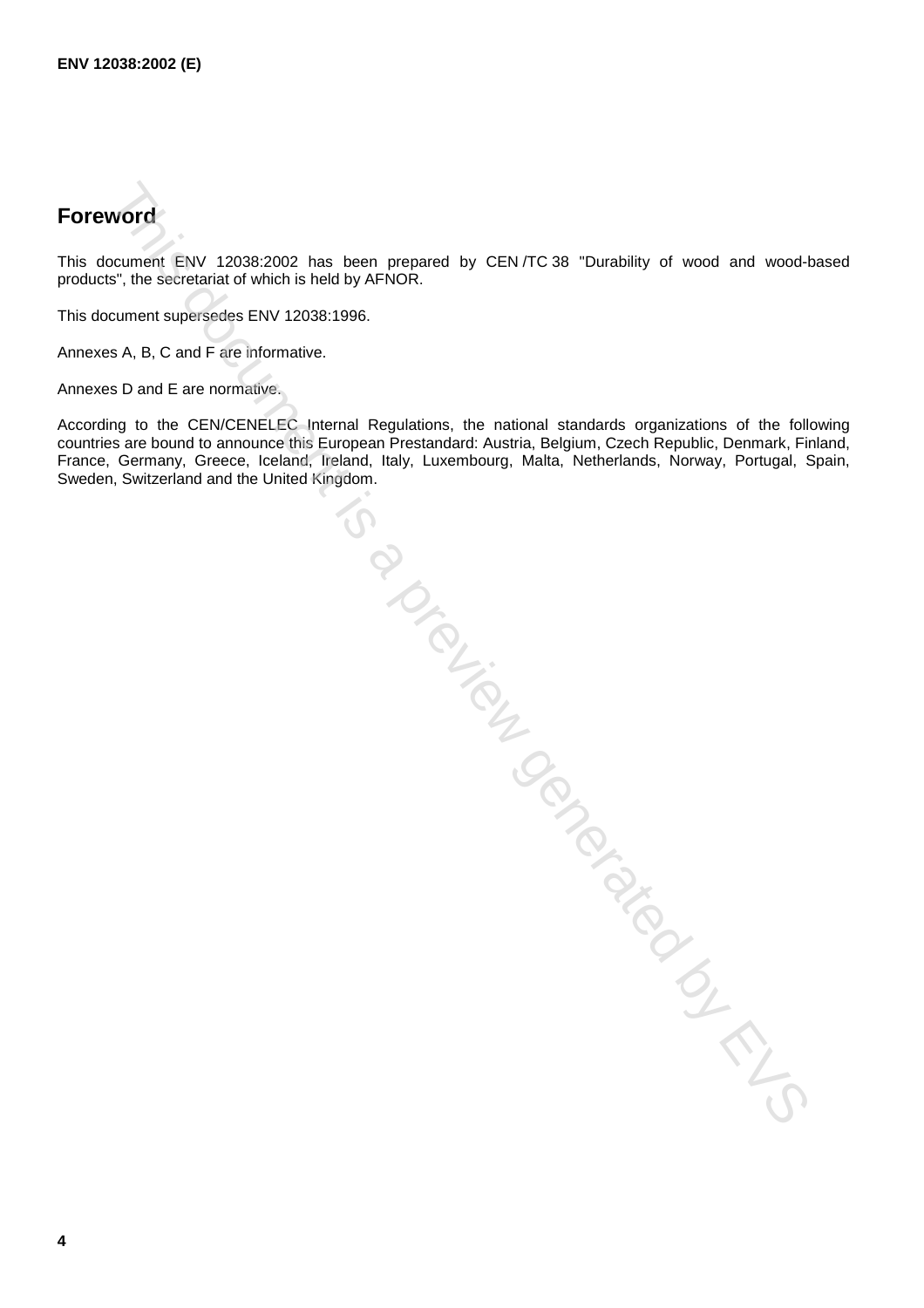## **Foreword**

This document ENV 12038:2002 has been prepared by CEN /TC 38 "Durability of wood and wood-based products", the secretariat of which is held by AFNOR.

This document supersedes ENV 12038:1996.

Annexes A, B, C and F are informative.

Annexes D and E are normative.

According to the CEN/CENELEC Internal Regulations, the national standards organizations of the following countries are bound to announce this European Prestandard: Austria, Belgium, Czech Republic, Denmark, Finland, France, Germany, Greece, Iceland, Ireland, Italy, Luxembourg, Malta, Netherlands, Norway, Portugal, Spain, Sweden, Switzerland and the United Kingdom. Trial Carience of the Contempt of Contempt is a problem of the Contempt of Contempt is a problem of the Contempt of Contempt is a problem of the Contempt of Contempt is a problem of the Contempt of Contempt is a problem of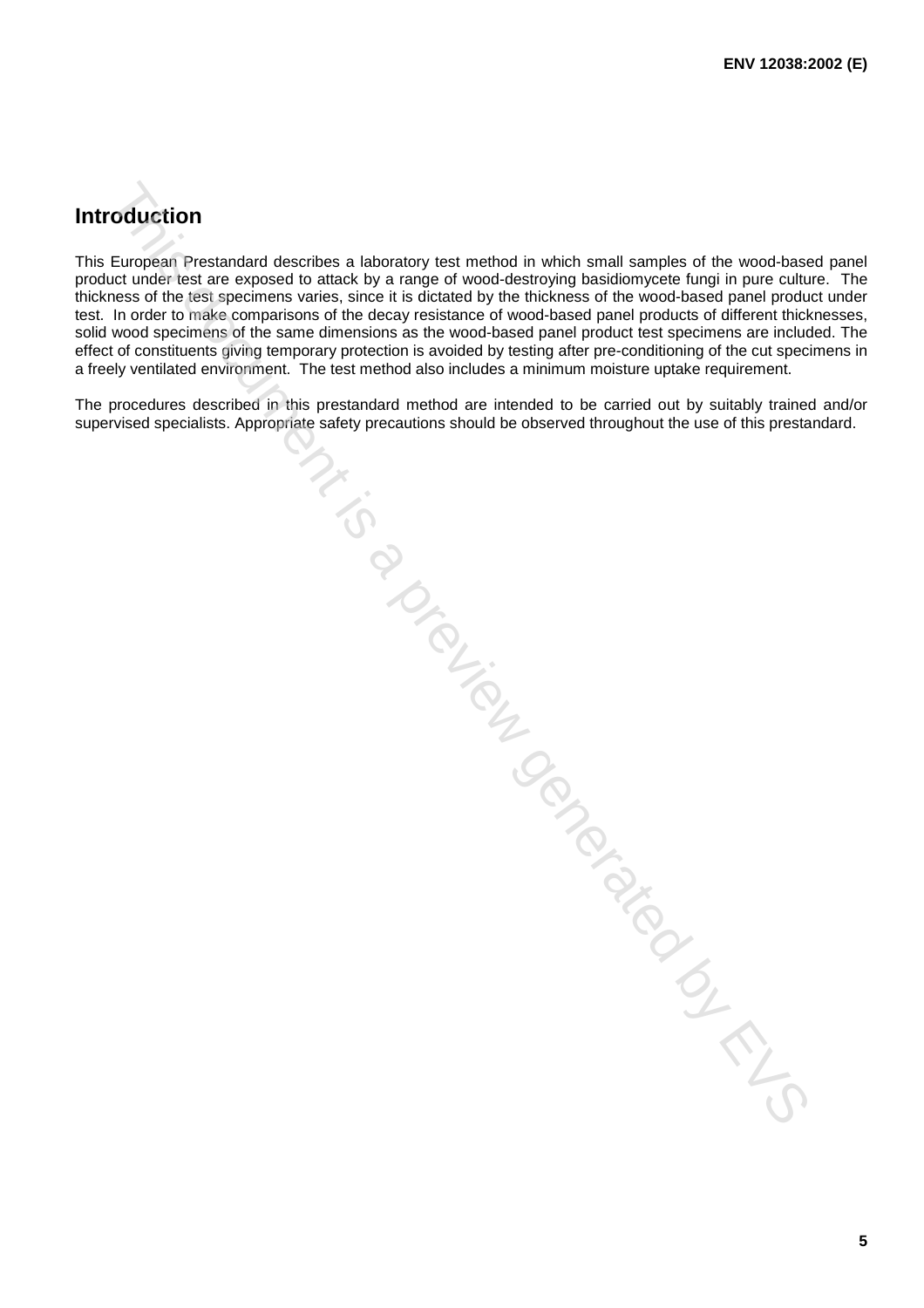## **Introduction**

This European Prestandard describes a laboratory test method in which small samples of the wood-based panel product under test are exposed to attack by a range of wood-destroying basidiomycete fungi in pure culture. The thickness of the test specimens varies, since it is dictated by the thickness of the wood-based panel product under test. In order to make comparisons of the decay resistance of wood-based panel products of different thicknesses, solid wood specimens of the same dimensions as the wood-based panel product test specimens are included. The effect of constituents giving temporary protection is avoided by testing after pre-conditioning of the cut specimens in a freely ventilated environment. The test method also includes a minimum moisture uptake requirement.

The procedures described in this prestandard method are intended to be carried out by suitably trained and/or supervised specialists. Appropriate safety precautions should be observed throughout the use of this prestandard. A Conception of the Conception of the CINE

**5**